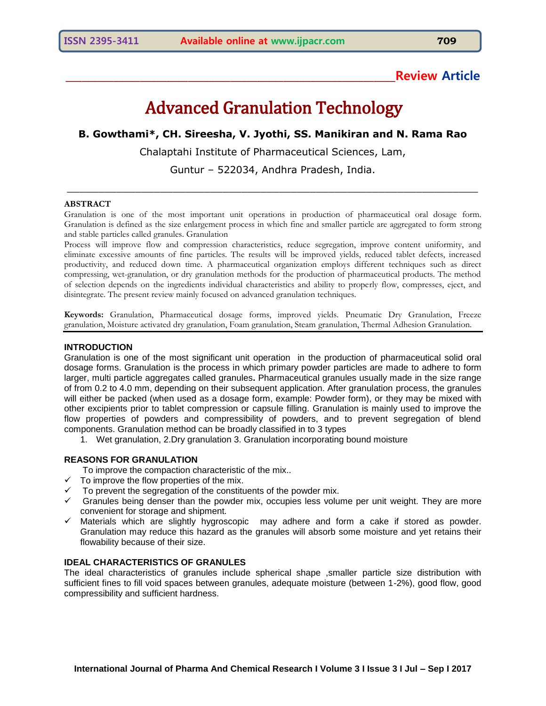# **\_\_\_\_\_\_\_\_\_\_\_\_\_\_\_\_\_\_\_\_\_\_\_\_\_\_\_\_\_\_\_\_\_\_\_\_\_\_\_\_\_\_\_\_\_\_\_\_\_\_\_\_\_\_\_\_\_\_\_\_\_\_Review Article**

# Advanced Granulation Technology

# **B. Gowthami\*, CH. Sireesha, V. Jyothi, SS. Manikiran and N. Rama Rao**

Chalaptahi Institute of Pharmaceutical Sciences, Lam,

Guntur – 522034, Andhra Pradesh, India.

\_\_\_\_\_\_\_\_\_\_\_\_\_\_\_\_\_\_\_\_\_\_\_\_\_\_\_\_\_\_\_\_\_\_\_\_\_\_\_\_\_\_\_\_\_\_\_\_\_\_\_\_\_\_\_\_\_\_\_\_\_\_\_\_\_\_

#### **ABSTRACT**

Granulation is one of the most important unit operations in production of pharmaceutical oral dosage form. Granulation is defined as the size enlargement process in which fine and smaller particle are aggregated to form strong and stable particles called granules. Granulation

Process will improve flow and compression characteristics, reduce segregation, improve content uniformity, and eliminate excessive amounts of fine particles. The results will be improved yields, reduced tablet defects, increased productivity, and reduced down time. A pharmaceutical organization employs different techniques such as direct compressing, wet-granulation, or dry granulation methods for the production of pharmaceutical products. The method of selection depends on the ingredients individual characteristics and ability to properly flow, compresses, eject, and disintegrate. The present review mainly focused on advanced granulation techniques.

**Keywords:** Granulation, Pharmaceutical dosage forms, improved yields. Pneumatic Dry Granulation, Freeze granulation, Moisture activated dry granulation, Foam granulation, Steam granulation, Thermal Adhesion Granulation.

## **INTRODUCTION**

Granulation is one of the most significant unit operation in the production of pharmaceutical solid oral dosage forms. Granulation is the process in which primary powder particles are made to adhere to form larger, multi particle aggregates called granules**.** Pharmaceutical granules usually made in the size range of from 0.2 to 4.0 mm, depending on their subsequent application. After granulation process, the granules will either be packed (when used as a dosage form, example: Powder form), or they may be mixed with other excipients prior to tablet compression or capsule filling. Granulation is mainly used to improve the flow properties of powders and compressibility of powders, and to prevent segregation of blend components. Granulation method can be broadly classified in to 3 types

1. Wet granulation, 2.Dry granulation 3. Granulation incorporating bound moisture

# **REASONS FOR GRANULATION**

- To improve the compaction characteristic of the mix..
- $\checkmark$  To improve the flow properties of the mix.
- $\checkmark$  To prevent the segregation of the constituents of the powder mix.
- $\checkmark$  Granules being denser than the powder mix, occupies less volume per unit weight. They are more convenient for storage and shipment.
- $\checkmark$  Materials which are slightly hygroscopic may adhere and form a cake if stored as powder. Granulation may reduce this hazard as the granules will absorb some moisture and yet retains their flowability because of their size.

#### **IDEAL CHARACTERISTICS OF GRANULES**

The ideal characteristics of granules include spherical shape ,smaller particle size distribution with sufficient fines to fill void spaces between granules, adequate moisture (between 1-2%), good flow, good compressibility and sufficient hardness.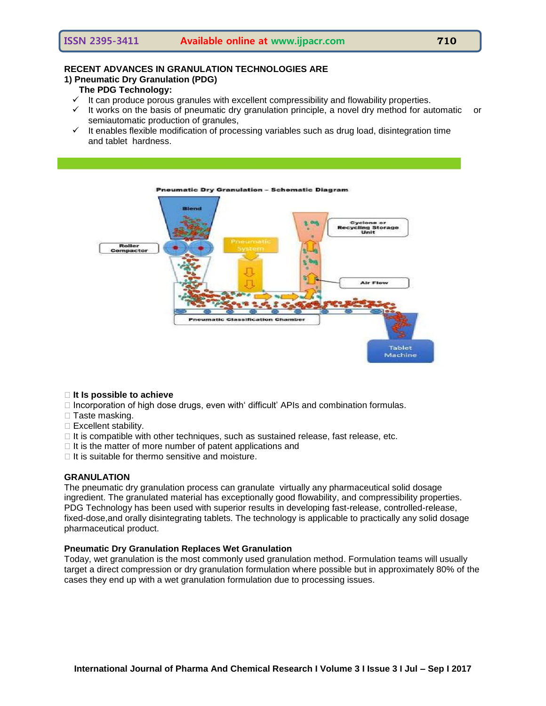# **RECENT ADVANCES IN GRANULATION TECHNOLOGIES ARE**

# **1) Pneumatic Dry Granulation (PDG)**

# **The PDG Technology:**

- $\checkmark$  It can produce porous granules with excellent compressibility and flowability properties.
- $\checkmark$  It works on the basis of pneumatic dry granulation principle, a novel dry method for automatic or semiautomatic production of granules,
- $\checkmark$  It enables flexible modification of processing variables such as drug load, disintegration time and tablet hardness.



#### **It Is possible to achieve**

- $\Box$  Incorporation of high dose drugs, even with difficult' APIs and combination formulas.
- □ Taste masking.
- $\square$  Excellent stability.
- $\Box$  It is compatible with other techniques, such as sustained release, fast release, etc.
- $\Box$  It is the matter of more number of patent applications and
- $\Box$  It is suitable for thermo sensitive and moisture.

# **GRANULATION**

The pneumatic dry granulation process can granulate virtually any pharmaceutical solid dosage ingredient. The granulated material has exceptionally good flowability, and compressibility properties. PDG Technology has been used with superior results in developing fast-release, controlled-release, fixed-dose,and orally disintegrating tablets. The technology is applicable to practically any solid dosage pharmaceutical product.

# **Pneumatic Dry Granulation Replaces Wet Granulation**

Today, wet granulation is the most commonly used granulation method. Formulation teams will usually target a direct compression or dry granulation formulation where possible but in approximately 80% of the cases they end up with a wet granulation formulation due to processing issues.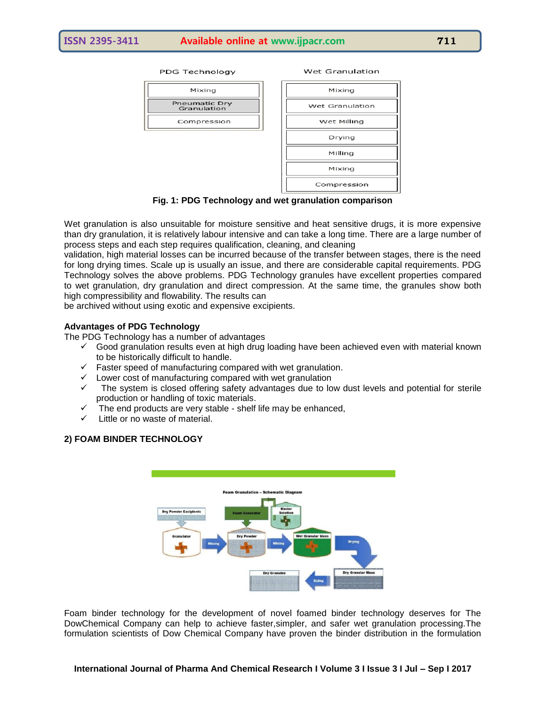**PDG Technology** 



| Mixing          |
|-----------------|
| Wet Granulation |
| Wet Milling     |
| Drying          |
| Milling         |
| Mixing          |
| Compression     |

Wet Granulation

# **Fig. 1: PDG Technology and wet granulation comparison**

Wet granulation is also unsuitable for moisture sensitive and heat sensitive drugs, it is more expensive than dry granulation, it is relatively labour intensive and can take a long time. There are a large number of process steps and each step requires qualification, cleaning, and cleaning

validation, high material losses can be incurred because of the transfer between stages, there is the need for long drying times. Scale up is usually an issue, and there are considerable capital requirements. PDG Technology solves the above problems. PDG Technology granules have excellent properties compared to wet granulation, dry granulation and direct compression. At the same time, the granules show both high compressibility and flowability. The results can

be archived without using exotic and expensive excipients.

# **Advantages of PDG Technology**

The PDG Technology has a number of advantages

- $\checkmark$  Good granulation results even at high drug loading have been achieved even with material known to be historically difficult to handle.
- $\checkmark$  Faster speed of manufacturing compared with wet granulation.
- $\checkmark$  Lower cost of manufacturing compared with wet granulation
- $\checkmark$  The system is closed offering safety advantages due to low dust levels and potential for sterile production or handling of toxic materials.
- The end products are very stable shelf life may be enhanced,
- $\checkmark$  Little or no waste of material.

# **2) FOAM BINDER TECHNOLOGY**



Foam binder technology for the development of novel foamed binder technology deserves for The DowChemical Company can help to achieve faster,simpler, and safer wet granulation processing.The formulation scientists of Dow Chemical Company have proven the binder distribution in the formulation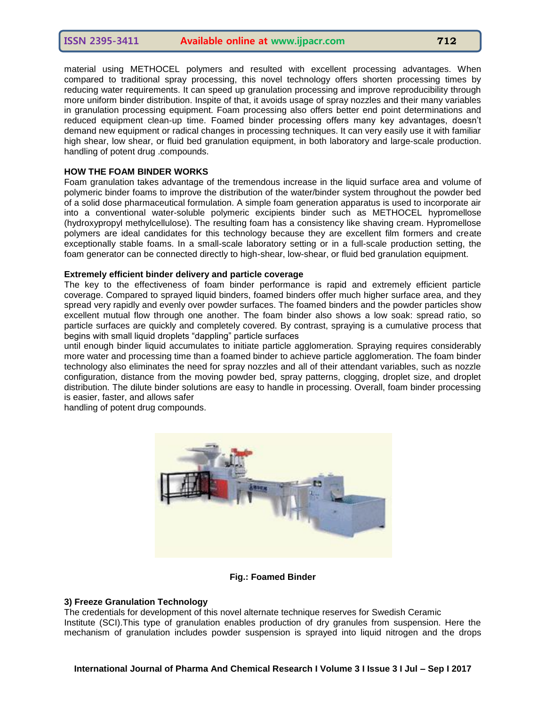material using METHOCEL polymers and resulted with excellent processing advantages. When compared to traditional spray processing, this novel technology offers shorten processing times by reducing water requirements. It can speed up granulation processing and improve reproducibility through more uniform binder distribution. Inspite of that, it avoids usage of spray nozzles and their many variables in granulation processing equipment. Foam processing also offers better end point determinations and reduced equipment clean-up time. Foamed binder processing offers many key advantages, doesn't demand new equipment or radical changes in processing techniques. It can very easily use it with familiar high shear, low shear, or fluid bed granulation equipment, in both laboratory and large-scale production. handling of potent drug .compounds.

#### **HOW THE FOAM BINDER WORKS**

Foam granulation takes advantage of the tremendous increase in the liquid surface area and volume of polymeric binder foams to improve the distribution of the water/binder system throughout the powder bed of a solid dose pharmaceutical formulation. A simple foam generation apparatus is used to incorporate air into a conventional water-soluble polymeric excipients binder such as METHOCEL hypromellose (hydroxypropyl methylcellulose). The resulting foam has a consistency like shaving cream. Hypromellose polymers are ideal candidates for this technology because they are excellent film formers and create exceptionally stable foams. In a small-scale laboratory setting or in a full-scale production setting, the foam generator can be connected directly to high-shear, low-shear, or fluid bed granulation equipment.

## **Extremely efficient binder delivery and particle coverage**

The key to the effectiveness of foam binder performance is rapid and extremely efficient particle coverage. Compared to sprayed liquid binders, foamed binders offer much higher surface area, and they spread very rapidly and evenly over powder surfaces. The foamed binders and the powder particles show excellent mutual flow through one another. The foam binder also shows a low soak: spread ratio, so particle surfaces are quickly and completely covered. By contrast, spraying is a cumulative process that begins with small liquid droplets "dappling" particle surfaces

until enough binder liquid accumulates to initiate particle agglomeration. Spraying requires considerably more water and processing time than a foamed binder to achieve particle agglomeration. The foam binder technology also eliminates the need for spray nozzles and all of their attendant variables, such as nozzle configuration, distance from the moving powder bed, spray patterns, clogging, droplet size, and droplet distribution. The dilute binder solutions are easy to handle in processing. Overall, foam binder processing is easier, faster, and allows safer

handling of potent drug compounds.



#### **Fig.: Foamed Binder**

#### **3) Freeze Granulation Technology**

The credentials for development of this novel alternate technique reserves for Swedish Ceramic Institute (SCI).This type of granulation enables production of dry granules from suspension. Here the mechanism of granulation includes powder suspension is sprayed into liquid nitrogen and the drops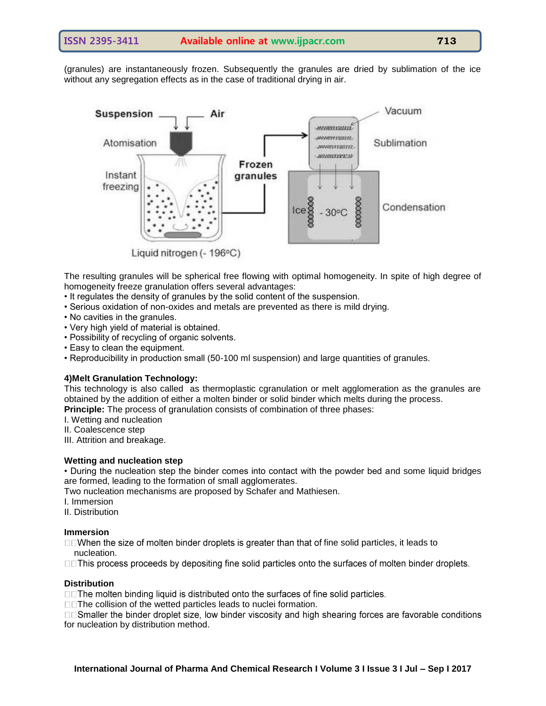(granules) are instantaneously frozen. Subsequently the granules are dried by sublimation of the ice without any segregation effects as in the case of traditional drying in air.



Liquid nitrogen (- 196°C)

The resulting granules will be spherical free flowing with optimal homogeneity. In spite of high degree of homogeneity freeze granulation offers several advantages:

- It regulates the density of granules by the solid content of the suspension.
- Serious oxidation of non-oxides and metals are prevented as there is mild drying.
- No cavities in the granules.
- Very high yield of material is obtained.
- Possibility of recycling of organic solvents.
- Easy to clean the equipment.
- Reproducibility in production small (50-100 ml suspension) and large quantities of granules.

# **4)Melt Granulation Technology:**

This technology is also called as thermoplastic cgranulation or melt agglomeration as the granules are obtained by the addition of either a molten binder or solid binder which melts during the process. **Principle:** The process of granulation consists of combination of three phases:

I. Wetting and nucleation

- II. Coalescence step
- III. Attrition and breakage.

# **Wetting and nucleation step**

• During the nucleation step the binder comes into contact with the powder bed and some liquid bridges are formed, leading to the formation of small agglomerates.

Two nucleation mechanisms are proposed by Schafer and Mathiesen.

I. Immersion

II. Distribution

#### **Immersion**

 $\square$  When the size of molten binder droplets is greater than that of fine solid particles, it leads to nucleation.

□□This process proceeds by depositing fine solid particles onto the surfaces of molten binder droplets.

# **Distribution**

□□The molten binding liquid is distributed onto the surfaces of fine solid particles.

□□The collision of the wetted particles leads to nuclei formation.

□□Smaller the binder droplet size, low binder viscosity and high shearing forces are favorable conditions for nucleation by distribution method.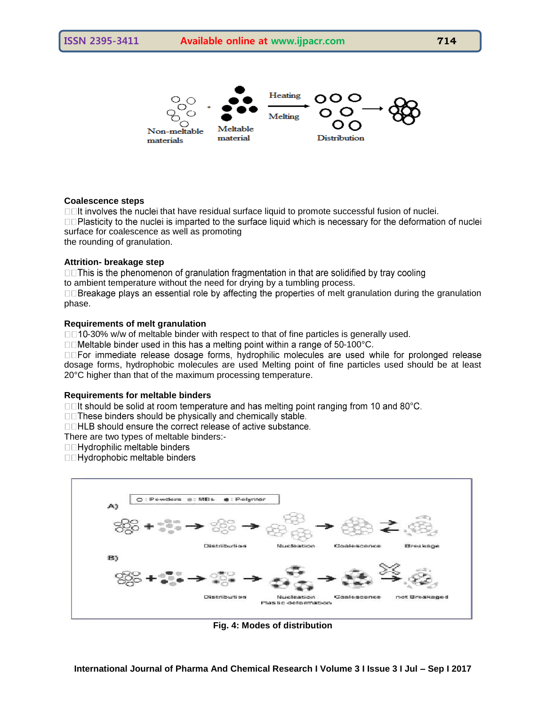# **ISSN 2395-3411 Available online at www.ijpacr.com 714**



# **Coalescence steps**

 $\Box$  The have residual surface liquid to promote successful fusion of nuclei. □□Plasticity to the nuclei is imparted to the surface liquid which is necessary for the deformation of nuclei surface for coalescence as well as promoting the rounding of granulation.

## **Attrition- breakage step**

□□This is the phenomenon of granulation fragmentation in that are solidified by tray cooling to ambient temperature without the need for drying by a tumbling process.

 $\square$  Breakage plays an essential role by affecting the properties of melt granulation during the granulation phase.

# **Requirements of melt granulation**

□□10-30% w/w of meltable binder with respect to that of fine particles is generally used.

□□Meltable binder used in this has a melting point within a range of 50-100 °C.

**IDFor immediate release dosage forms, hydrophilic molecules are used while for prolonged release** dosage forms, hydrophobic molecules are used Melting point of fine particles used should be at least 20°C higher than that of the maximum processing temperature.

#### **Requirements for meltable binders**

□□It should be solid at room temperature and has melting point ranging from 10 and 80°C.

□□These binders should be physically and chemically stable.

□□HLB should ensure the correct release of active substance.

There are two types of meltable binders:-

□□Hydrophilic meltable binders

□□Hydrophobic meltable binders



**Fig. 4: Modes of distribution**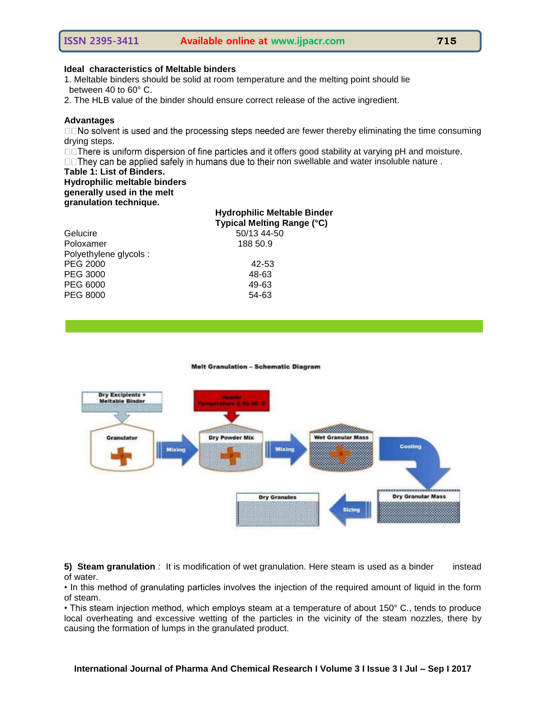# **Ideal characteristics of Meltable binders**

1. Meltable binders should be solid at room temperature and the melting point should lie between 40 to 60° C.

2. The HLB value of the binder should ensure correct release of the active ingredient.

#### **Advantages**

 $\square$  No solvent is used and the processing steps needed are fewer thereby eliminating the time consuming drying steps.

□□ There is uniform dispersion of fine particles and it offers good stability at varying pH and moisture.

 $\square$  They can be applied safely in humans due to their non swellable and water insoluble nature .

**Table 1: List of Binders.**

#### **Hydrophilic meltable binders generally used in the melt granulation technique.**

#### **Hydrophilic Meltable Binder Typical Melting Range (°C)**

50/13 44-50 188 50.9

| Gelucire              | 50/13 44- |
|-----------------------|-----------|
| Poloxamer             | 188 50.9  |
| Polyethylene glycols: |           |
| PEG 2000              | 42-53     |
| PEG 3000              | 48-63     |
| PEG 6000              | 49-63     |
| PEG 8000              | 54-63     |

**Melt Granulation - Schematic Diagram** 



**5) Steam granulation** *:* It is modification of wet granulation. Here steam is used as a binder instead of water.

• In this method of granulating particles involves the injection of the required amount of liquid in the form of steam.

• This steam injection method, which employs steam at a temperature of about 150° C., tends to produce local overheating and excessive wetting of the particles in the vicinity of the steam nozzles, there by causing the formation of lumps in the granulated product.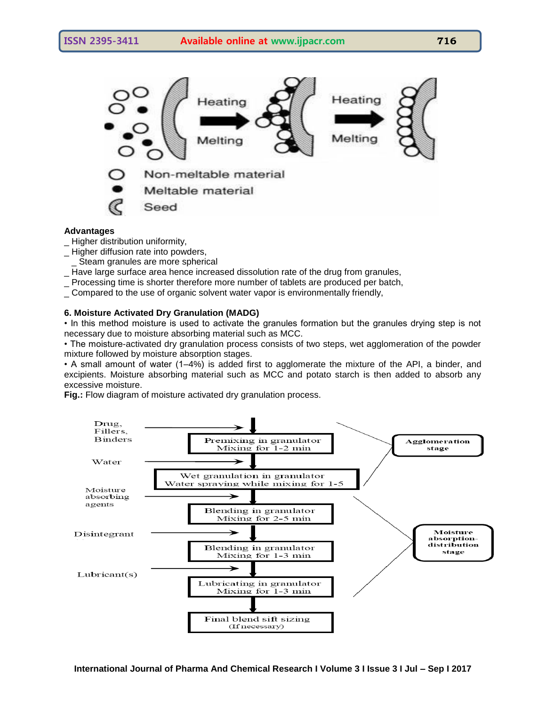

Non-meltable material

Meltable material

Seed

# **Advantages**

- Higher distribution uniformity,
- \_ Higher diffusion rate into powders,
- Steam granules are more spherical
- \_ Have large surface area hence increased dissolution rate of the drug from granules,
- \_ Processing time is shorter therefore more number of tablets are produced per batch,
- \_ Compared to the use of organic solvent water vapor is environmentally friendly,

# **6. Moisture Activated Dry Granulation (MADG)**

• In this method moisture is used to activate the granules formation but the granules drying step is not necessary due to moisture absorbing material such as MCC.

• The moisture-activated dry granulation process consists of two steps, wet agglomeration of the powder mixture followed by moisture absorption stages.

• A small amount of water (1–4%) is added first to agglomerate the mixture of the API, a binder, and excipients. Moisture absorbing material such as MCC and potato starch is then added to absorb any excessive moisture.

**Fig.:** Flow diagram of moisture activated dry granulation process.

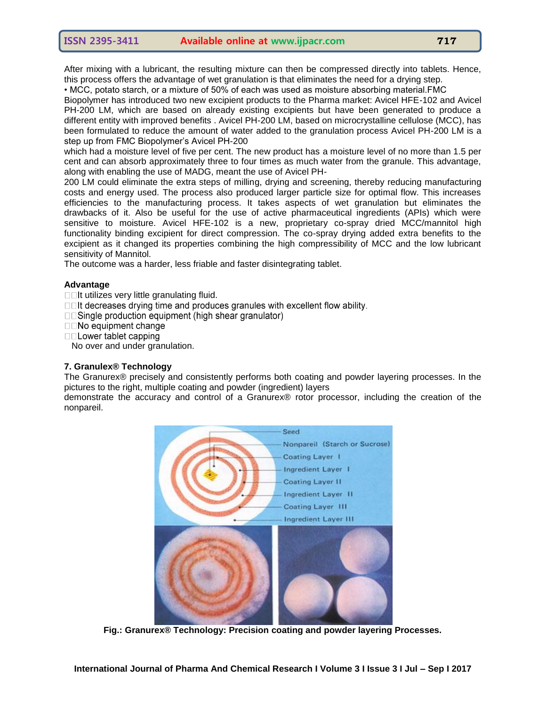After mixing with a lubricant, the resulting mixture can then be compressed directly into tablets. Hence, this process offers the advantage of wet granulation is that eliminates the need for a drying step.

• MCC, potato starch, or a mixture of 50% of each was used as moisture absorbing material.FMC

Biopolymer has introduced two new excipient products to the Pharma market: Avicel HFE-102 and Avicel PH-200 LM, which are based on already existing excipients but have been generated to produce a different entity with improved benefits . Avicel PH-200 LM, based on microcrystalline cellulose (MCC), has been formulated to reduce the amount of water added to the granulation process Avicel PH-200 LM is a step up from FMC Biopolymer's Avicel PH-200

which had a moisture level of five per cent. The new product has a moisture level of no more than 1.5 per cent and can absorb approximately three to four times as much water from the granule. This advantage, along with enabling the use of MADG, meant the use of Avicel PH-

200 LM could eliminate the extra steps of milling, drying and screening, thereby reducing manufacturing costs and energy used. The process also produced larger particle size for optimal flow. This increases efficiencies to the manufacturing process. It takes aspects of wet granulation but eliminates the drawbacks of it. Also be useful for the use of active pharmaceutical ingredients (APIs) which were sensitive to moisture. Avicel HFE-102 is a new, proprietary co-spray dried MCC/mannitol high functionality binding excipient for direct compression. The co-spray drying added extra benefits to the excipient as it changed its properties combining the high compressibility of MCC and the low lubricant sensitivity of Mannitol.

The outcome was a harder, less friable and faster disintegrating tablet.

## **Advantage**

 $\square$ It utilizes very little granulating fluid.

□□It decreases drying time and produces granules with excellent flow ability.

 $\square$  Single production equipment (high shear granulator)

 $\square$  No equipment change

 $\Box$  Lower tablet capping

No over and under granulation.

## **7. Granulex® Technology**

The Granurex® precisely and consistently performs both coating and powder layering processes. In the pictures to the right, multiple coating and powder (ingredient) layers

demonstrate the accuracy and control of a Granurex® rotor processor, including the creation of the nonpareil.



**Fig.: Granurex® Technology: Precision coating and powder layering Processes.**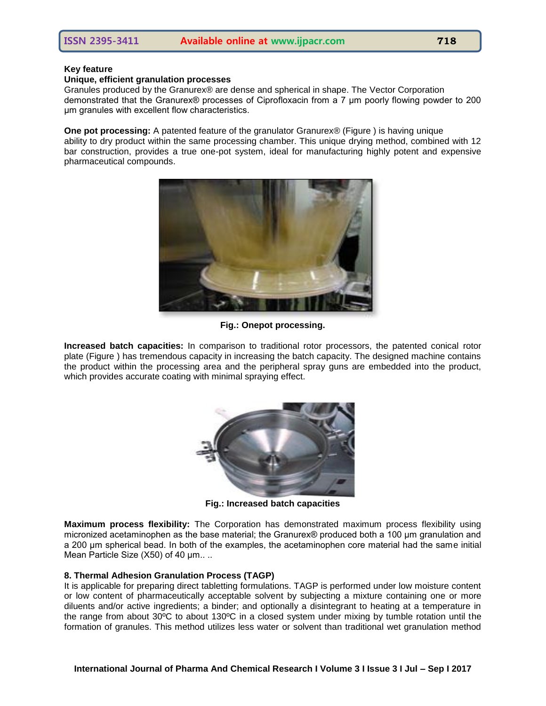#### **Key feature**

#### **Unique, efficient granulation processes**

Granules produced by the Granurex® are dense and spherical in shape. The Vector Corporation demonstrated that the Granurex® processes of Ciprofloxacin from a 7 μm poorly flowing powder to 200 μm granules with excellent flow characteristics.

**One pot processing:** A patented feature of the granulator Granurex® (Figure ) is having unique ability to dry product within the same processing chamber. This unique drying method, combined with 12 bar construction, provides a true one-pot system, ideal for manufacturing highly potent and expensive pharmaceutical compounds.



**Fig.: Onepot processing.**

**Increased batch capacities:** In comparison to traditional rotor processors, the patented conical rotor plate (Figure ) has tremendous capacity in increasing the batch capacity. The designed machine contains the product within the processing area and the peripheral spray guns are embedded into the product, which provides accurate coating with minimal spraying effect.



**Fig.: Increased batch capacities**

**Maximum process flexibility:** The Corporation has demonstrated maximum process flexibility using micronized acetaminophen as the base material; the Granurex® produced both a 100 μm granulation and a 200 μm spherical bead. In both of the examples, the acetaminophen core material had the same initial Mean Particle Size (X50) of 40 μm.. ..

# **8. Thermal Adhesion Granulation Process (TAGP)**

It is applicable for preparing direct tabletting formulations. TAGP is performed under low moisture content or low content of pharmaceutically acceptable solvent by subjecting a mixture containing one or more diluents and/or active ingredients; a binder; and optionally a disintegrant to heating at a temperature in the range from about 30ºC to about 130ºC in a closed system under mixing by tumble rotation until the formation of granules. This method utilizes less water or solvent than traditional wet granulation method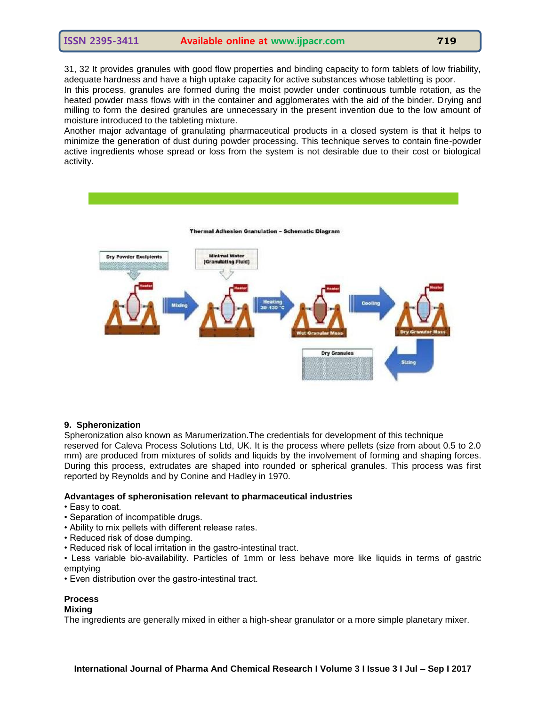31, 32 It provides granules with good flow properties and binding capacity to form tablets of low friability, adequate hardness and have a high uptake capacity for active substances whose tabletting is poor.

In this process, granules are formed during the moist powder under continuous tumble rotation, as the heated powder mass flows with in the container and agglomerates with the aid of the binder. Drying and milling to form the desired granules are unnecessary in the present invention due to the low amount of moisture introduced to the tableting mixture.

Another major advantage of granulating pharmaceutical products in a closed system is that it helps to minimize the generation of dust during powder processing. This technique serves to contain fine-powder active ingredients whose spread or loss from the system is not desirable due to their cost or biological activity.



#### **9. Spheronization**

Spheronization also known as Marumerization.The credentials for development of this technique reserved for Caleva Process Solutions Ltd, UK. It is the process where pellets (size from about 0.5 to 2.0 mm) are produced from mixtures of solids and liquids by the involvement of forming and shaping forces. During this process, extrudates are shaped into rounded or spherical granules. This process was first reported by Reynolds and by Conine and Hadley in 1970.

#### **Advantages of spheronisation relevant to pharmaceutical industries**

- Easy to coat.
- Separation of incompatible drugs.
- Ability to mix pellets with different release rates.
- Reduced risk of dose dumping.
- Reduced risk of local irritation in the gastro-intestinal tract.
- Less variable bio-availability. Particles of 1mm or less behave more like liquids in terms of gastric emptying
- Even distribution over the gastro-intestinal tract.

#### **Process**

#### **Mixing**

The ingredients are generally mixed in either a high-shear granulator or a more simple planetary mixer.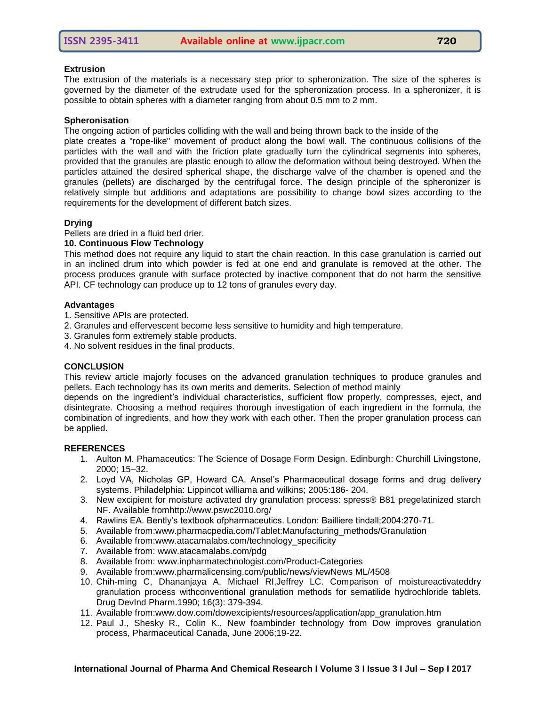# **Extrusion**

The extrusion of the materials is a necessary step prior to spheronization. The size of the spheres is governed by the diameter of the extrudate used for the spheronization process. In a spheronizer, it is possible to obtain spheres with a diameter ranging from about 0.5 mm to 2 mm.

# **Spheronisation**

The ongoing action of particles colliding with the wall and being thrown back to the inside of the

plate creates a "rope-like" movement of product along the bowl wall. The continuous collisions of the particles with the wall and with the friction plate gradually turn the cylindrical segments into spheres, provided that the granules are plastic enough to allow the deformation without being destroyed. When the particles attained the desired spherical shape, the discharge valve of the chamber is opened and the granules (pellets) are discharged by the centrifugal force. The design principle of the spheronizer is relatively simple but additions and adaptations are possibility to change bowl sizes according to the requirements for the development of different batch sizes.

## **Drying**

#### Pellets are dried in a fluid bed drier.

#### **10. Continuous Flow Technology**

This method does not require any liquid to start the chain reaction. In this case granulation is carried out in an inclined drum into which powder is fed at one end and granulate is removed at the other. The process produces granule with surface protected by inactive component that do not harm the sensitive API. CF technology can produce up to 12 tons of granules every day.

#### **Advantages**

- 1. Sensitive APIs are protected.
- 2. Granules and effervescent become less sensitive to humidity and high temperature.
- 3. Granules form extremely stable products.
- 4. No solvent residues in the final products.

#### **CONCLUSION**

This review article majorly focuses on the advanced granulation techniques to produce granules and pellets. Each technology has its own merits and demerits. Selection of method mainly

depends on the ingredient's individual characteristics, sufficient flow properly, compresses, eject, and disintegrate. Choosing a method requires thorough investigation of each ingredient in the formula, the combination of ingredients, and how they work with each other. Then the proper granulation process can be applied.

#### **REFERENCES**

- 1. Aulton M. Phamaceutics: The Science of Dosage Form Design. Edinburgh: Churchill Livingstone, 2000; 15–32.
- 2. Loyd VA, Nicholas GP, Howard CA. Ansel's Pharmaceutical dosage forms and drug delivery systems. Philadelphia: Lippincot williama and wilkins; 2005:186- 204.
- 3. New excipient for moisture activated dry granulation process: spress® B81 pregelatinized starch NF. Available fromhttp://www.pswc2010.org/
- 4. Rawlins EA. Bently's textbook ofpharmaceutics. London: Bailliere tindall;2004:270-71.
- 5. Available from:www.pharmacpedia.com/Tablet:Manufacturing\_methods/Granulation
- 6. Available from:www.atacamalabs.com/technology\_specificity
- 7. Available from: www.atacamalabs.com/pdg
- 8. Available from: www.inpharmatechnologist.com/Product-Categories
- 9. Available from:www.pharmalicensing.com/public/news/viewNews ML/4508
- 10. Chih-ming C, Dhananjaya A, Michael RI,Jeffrey LC. Comparison of moistureactivateddry granulation process withconventional granulation methods for sematilide hydrochloride tablets. Drug DevInd Pharm.1990; 16(3): 379-394.
- 11. Available from:www.dow.com/dowexcipients/resources/application/app\_granulation.htm
- 12. Paul J., Shesky R., Colin K., New foambinder technology from Dow improves granulation process, Pharmaceutical Canada, June 2006;19-22.